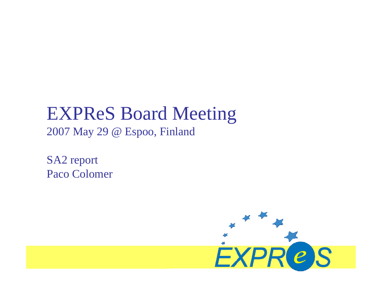# EXPReS Board Meeting

2007 May 29 @ Espoo, Finland

SA2 report Paco Colomer

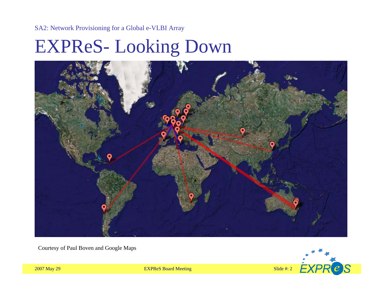# EXPReS-Looking Down



Courtesy of Paul Boven and Google Maps



2007 May 29 **EXPReS Board Meeting** Slide #: 2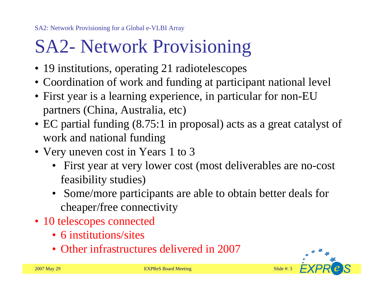# SA2- Network Provisioning

- 19 institutions, operating 21 radiotelescopes
- Coordination of work and funding at participant national level
- First year is a learning experience, in particular for non-EU partners (China, Australia, etc)
- EC partial funding (8.75:1 in proposal) acts as a great catalyst of work and national funding
- Very uneven cost in Years 1 to 3
	- First year at very lower cost (most deliverables are no-cost feasibility studies)
	- Some/more participants are able to obtain better deals for cheaper/free connectivity
- 10 telescopes connected
	- 6 institutions/sites
	- Other infrastructures delivered in 2007

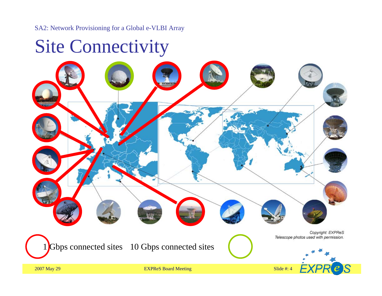#### Site Connectivity

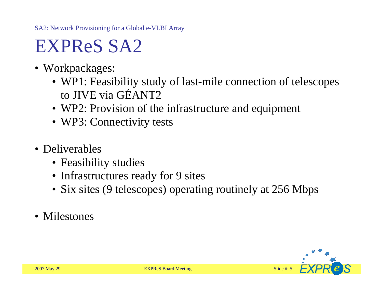# EXPReS SA2

- Workpackages:
	- WP1: Feasibility study of last-mile connection of telescopes to JIVE via GÉANT2
	- WP2: Provision of the infrastructure and equipment
	- WP3: Connectivity tests
- Deliverables
	- Feasibility studies
	- Infrastructures ready for 9 sites
	- Six sites (9 telescopes) operating routinely at 256 Mbps
- Milestones

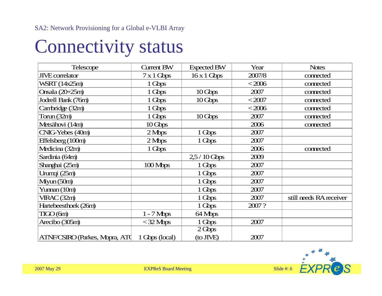### Connectivity status

| <b>Telescope</b>               | <b>Current BW</b>        | <b>Expected BW</b> | Year     | <b>Notes</b>            |
|--------------------------------|--------------------------|--------------------|----------|-------------------------|
| <b>JIVE</b> correlator         | $7 \times 1$ Gbps        | $16 \times 1$ Gbps | 2007/8   | connected               |
| WSRT (14x25m)                  | 1 Gbps                   |                    | $<$ 2006 | connected               |
| Onsala (20+25m)                | 1 Gbps                   | $10 \text{ Gbps}$  | 2007     | connected               |
| Jodrell Bank (76m)             | 1 Gbps                   | $10 \text{ Gbps}$  | $<$ 2007 | connected               |
| Canbridge (32m)                | 1 Gbps                   |                    | $<$ 2006 | connected               |
| Torum (32m)                    | 1 Gbps                   | $10 \text{ Gbps}$  | 2007     | connected               |
| Metsähovi (14m)                | $10 \text{ Gbps}$        |                    | 2006     | connected               |
| CNIG-Yebes (40m)               | $2$ Mbps                 | 1 Gbps             | 2007     |                         |
| Effelsberg (100m)              | $2 \, \text{Mbps}$       | 1 Gbps             | 2007     |                         |
| Medicina (32m)                 | 1 Gbps                   |                    | 2006     | connected               |
| Sardinia (64m)                 |                          | $2,5/10$ Gbps      | 2009     |                         |
| Shanghai (25m)                 | 100 Mbps                 | 1 Gbps             | 2007     |                         |
| Urumqi (25m)                   |                          | 1 Gbps             | 2007     |                         |
| $M$ iyun $(50m)$               |                          | 1 Gbps             | 2007     |                         |
| Yunnan (10m)                   |                          | 1 Gbps             | 2007     |                         |
| VIRAC (32m)                    |                          | 1 Gbps             | 2007     | still needs RA receiver |
| Hartebeesthoek (26m)           |                          | 1 Gbps             | 2007?    |                         |
| TIGO(6m)                       | $1 - 7$ Mbps             | 64 Mbps            |          |                         |
| Arecibo (305m)                 | $<$ 32 Mbps              | 1 Gbps             | 2007     |                         |
|                                |                          | 2Gbps              |          |                         |
| ATNF/CSIRO (Parkes, Mopra, ATC | $1 \text{ Gbps}$ (local) | (to JIVE)          | 2007     |                         |

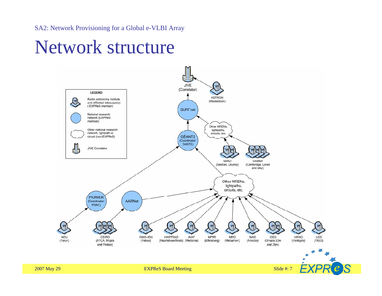#### Network structure

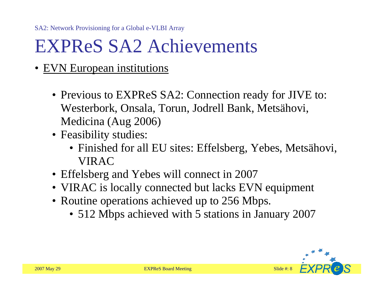# EXPReS SA2 Achievements

- EVN European institutions
	- Previous to EXPReS SA2: Connection ready for JIVE to: Westerbork, Onsala, Torun, Jodrell Bank, Metsähovi, Medicina (Aug 2006)
	- Feasibility studies:
		- Finished for all EU sites: Effelsberg, Yebes, Metsähovi, VIRAC
	- Effelsberg and Yebes will connect in 2007
	- VIRAC is locally connected but lacks EVN equipment
	- Routine operations achieved up to 256 Mbps.
		- 512 Mbps achieved with 5 stations in January 2007

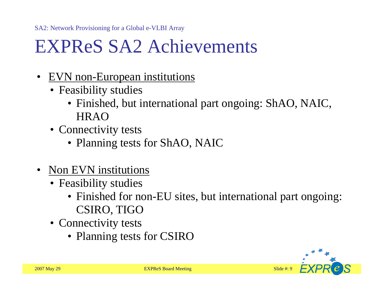# EXPReS SA2 Achievements

- •EVN non-European institutions
	- Feasibility studies
		- Finished, but international part ongoing: ShAO, NAIC, HRAO
	- Connectivity tests
		- Planning tests for ShAO, NAIC
- •Non EVN institutions
	- Feasibility studies
		- Finished for non-EU sites, but international part ongoing: CSIRO, TIGO
	- Connectivity tests
		- Planning tests for CSIRO

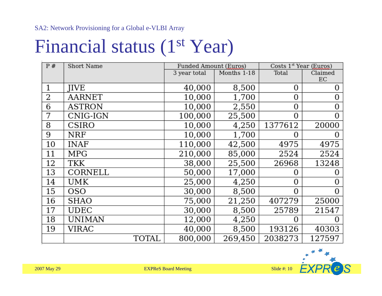### Financial status (1<sup>st</sup> Year)

| P# | Short Name    |       | Funded Amount (Euros) |             | Costs $1st$ Year (Euros) |                |
|----|---------------|-------|-----------------------|-------------|--------------------------|----------------|
|    |               |       | 3 year total          | Months 1-18 | Total                    | Claimed        |
|    |               |       |                       |             |                          | EC             |
| 1  | <b>JIVE</b>   |       | 40,000                | 8,500       | 0                        | 0              |
| 2  | AARNET        |       | 10,000                | 1,700       | 0                        | $\overline{0}$ |
| 6  | <b>ASTRON</b> |       | 10,000                | 2,550       | 0                        | 0              |
| 7  | CNIG-IGN      |       | 100,000               | 25,500      | $\Omega$                 | $\overline{0}$ |
| 8  | CSIRO         |       | 10,000                | 4,250       | 1377612                  | 20000          |
| 9  | <b>NRF</b>    |       | 10,000                | 1,700       | 0                        |                |
| 10 | <b>INAF</b>   |       | 110,000               | 42,500      | 4975                     | 4975           |
| 11 | MPG           |       | 210,000               | 85,000      | 2524                     | 2524           |
| 12 | <b>TKK</b>    |       | 38,000                | 25,500      | 26968                    | 13248          |
| 13 | CORNELL       |       | 50,000                | 17,000      | 0                        |                |
| 14 | UMK           |       | 25,000                | 4,250       | 0                        | 0              |
| 15 | <b>OSO</b>    |       | 30,000                | 8,500       | $\Omega$                 | 0              |
| 16 | SHAO          |       | 75,000                | 21,250      | 407279                   | 25000          |
| 17 | <b>UDEC</b>   |       | 30,000                | 8,500       | 25789                    | 21547          |
| 18 | <b>UNIMAN</b> |       | 12,000                | 4,250       | 0                        |                |
| 19 | VIRAC         |       | 40,000                | 8,500       | 193126                   | 40303          |
|    |               | TOTAL | 800,000               | 269,450     | 2038273                  | 127597         |

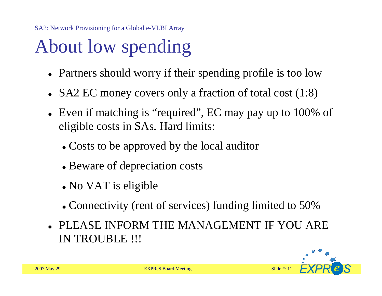# About low spending

- Partners should worry if their spending profile is too low
- $\bullet$ SA2 EC money covers only a fraction of total cost (1:8)
- Even if matching is "required", EC may pay up to 100% of eligible costs in SAs. Hard limits:
	- Costs to be approved by the local auditor
	- Beware of depreciation costs
	- No VAT is eligible
	- Connectivity (rent of services) funding limited to 50%
- PLEASE INFORM THE MANAGEMENT IF YOU ARE IN TROUBLE !!!

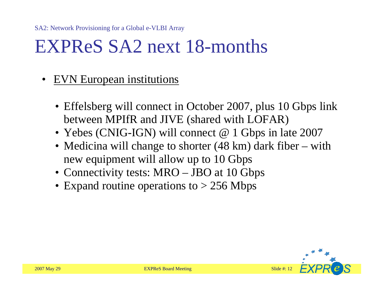#### EXPReS SA2 next 18-months

- •EVN European institutions
	- Effelsberg will connect in October 2007, plus 10 Gbps link between MPIfR and JIVE (shared with LOFAR)
	- Yebes (CNIG-IGN) will connect @ 1 Gbps in late 2007
	- Medicina will change to shorter (48 km) dark fiber – with new equipment will allow up to 10 Gbps
	- Connectivity tests: MRO JBO at 10 Gbps
	- Expand routine operations to > 256 Mbps

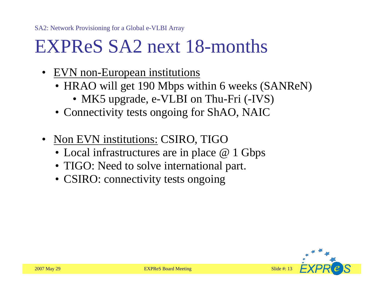#### EXPReS SA2 next 18-months

- EVN non-European institutions
	- HRAO will get 190 Mbps within 6 weeks (SANReN)
		- MK5 upgrade, e-VLBI on Thu-Fri (-IVS)
	- Connectivity tests ongoing for ShAO, NAIC
- $\bullet$ Non EVN institutions: CSIRO, TIGO
	- Local infrastructures are in place @ 1 Gbps
	- TIGO: Need to solve international part.
	- CSIRO: connectivity tests ongoing

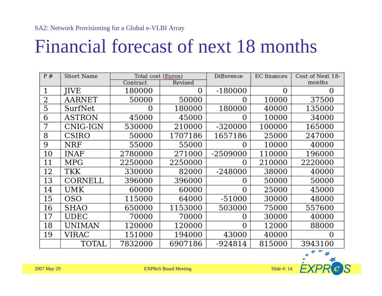# Financial forecast of next 18 months

| P# | Short Name    | Total cost (Euros) |          | Difference     | EC finances | Cost of Next 18- |
|----|---------------|--------------------|----------|----------------|-------------|------------------|
|    |               | Contract           | Revised  |                |             | months           |
| 1  | <b>IIVE</b>   | 180000             | $\Omega$ | $-180000$      | 0           | 0                |
| 2  | AARNET        | 50000              | 50000    | 0              | 10000       | 37500            |
| 5  | SurfNet       | 0                  | 180000   | 180000         | 40000       | 135000           |
| 6  | <b>ASTRON</b> | 45000              | 45000    | 0              | 10000       | 34000            |
| 7  | CNIG-IGN      | 530000             | 210000   | -320000        | 100000      | 165000           |
| 8  | CSIRO         | 50000              | 1707186  | 1657186        | 25000       | 247000           |
| 9  | NRF           | 55000              | 55000    | 0              | 10000       | 40000            |
| 10 | INAF          | 2780000            | 271000   | -2509000       | 110000      | 196000           |
| 11 | MPG           | 2250000            | 2250000  | 0              | 210000      | 2220000          |
| 12 | TKK           | 330000             | 82000    | -248000        | 38000       | 40000            |
| 13 | CORNELL       | 396000             | 396000   | 0              | 50000       | 50000            |
| 14 | UMK           | 60000              | 60000    | 0              | 25000       | 45000            |
| 15 | OSO           | 115000             | 64000    | $-51000$       | 30000       | 48000            |
| 16 | <b>SHAO</b>   | 650000             | 1153000  | 503000         | 75000       | 557600           |
| 17 | <b>UDEC</b>   | 70000              | 70000    | 0              | 30000       | 40000            |
| 18 | <b>UNIMAN</b> | 120000             | 120000   | $\overline{0}$ | 12000       | 88000            |
| 19 | VIRAC         | 151000             | 194000   | 43000          | 40000       | $\Omega$         |
|    | TOTAL         | 7832000            | 6907186  | -924814        | 815000      | 3943100          |